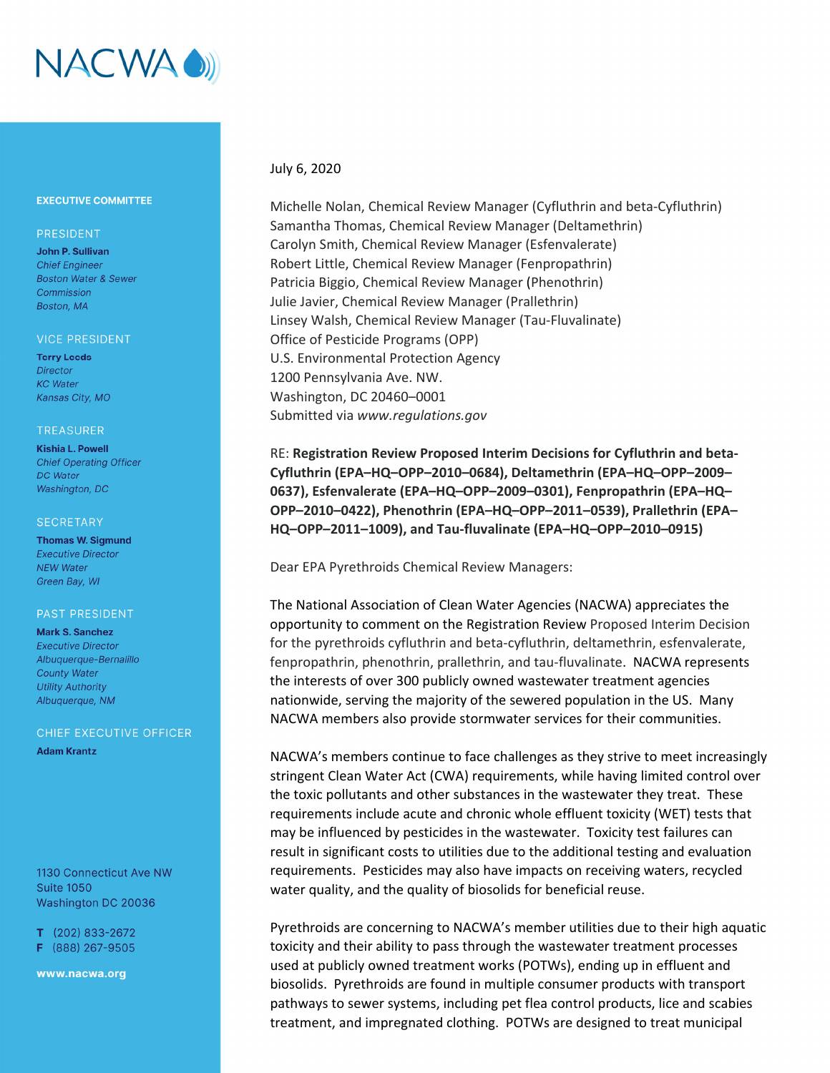

# **EXECUTIVE COMMITTEE**

# PRESIDENT

John P. Sullivan **Chief Engineer Boston Water & Sewer** Commission Boston, MA

#### **VICE PRESIDENT**

**Terry Leeds Director KC** Water Kansas City, MO

## **TREASURER**

**Kishia L. Powell Chief Operating Officer DC** Water Washington, DC

#### **SECRETARY**

**Thomas W. Sigmund Executive Director NEW Water** Green Bay, WI

## **PAST PRESIDENT**

**Mark S. Sanchez Executive Director** Albuaueraue-Bernalillo **County Water Utility Authority** Albuquerque, NM

# CHIEF EXECUTIVE OFFICER

**Adam Krantz** 

1130 Connecticut Ave NW **Suite 1050** Washington DC 20036

 $T$  (202) 833-2672 F (888) 267-9505

www.nacwa.org

# July 6, 2020

Michelle Nolan, Chemical Review Manager (Cyfluthrin and beta‐Cyfluthrin) Samantha Thomas, Chemical Review Manager (Deltamethrin) Carolyn Smith, Chemical Review Manager (Esfenvalerate) Robert Little, Chemical Review Manager (Fenpropathrin) Patricia Biggio, Chemical Review Manager (Phenothrin) Julie Javier, Chemical Review Manager (Prallethrin) Linsey Walsh, Chemical Review Manager (Tau‐Fluvalinate) Office of Pesticide Programs (OPP) U.S. Environmental Protection Agency 1200 Pennsylvania Ave. NW. Washington, DC 20460–0001 Submitted via *www.regulations.gov*

RE: **Registration Review Proposed Interim Decisions for Cyfluthrin and beta‐ Cyfluthrin (EPA–HQ–OPP–2010–0684), Deltamethrin (EPA–HQ–OPP–2009– 0637), Esfenvalerate (EPA–HQ–OPP–2009–0301), Fenpropathrin (EPA–HQ– OPP–2010–0422), Phenothrin (EPA–HQ–OPP–2011–0539), Prallethrin (EPA– HQ–OPP–2011–1009), and Tau‐fluvalinate (EPA–HQ–OPP–2010–0915)**

Dear EPA Pyrethroids Chemical Review Managers:

The National Association of Clean Water Agencies (NACWA) appreciates the opportunity to comment on the Registration Review Proposed Interim Decision for the pyrethroids cyfluthrin and beta-cyfluthrin, deltamethrin, esfenvalerate, fenpropathrin, phenothrin, prallethrin, and tau-fluvalinate. NACWA represents the interests of over 300 publicly owned wastewater treatment agencies nationwide, serving the majority of the sewered population in the US. Many NACWA members also provide stormwater services for their communities.

NACWA's members continue to face challenges as they strive to meet increasingly stringent Clean Water Act (CWA) requirements, while having limited control over the toxic pollutants and other substances in the wastewater they treat. These requirements include acute and chronic whole effluent toxicity (WET) tests that may be influenced by pesticides in the wastewater. Toxicity test failures can result in significant costs to utilities due to the additional testing and evaluation requirements. Pesticides may also have impacts on receiving waters, recycled water quality, and the quality of biosolids for beneficial reuse.

Pyrethroids are concerning to NACWA's member utilities due to their high aquatic toxicity and their ability to pass through the wastewater treatment processes used at publicly owned treatment works (POTWs), ending up in effluent and biosolids. Pyrethroids are found in multiple consumer products with transport pathways to sewer systems, including pet flea control products, lice and scabies treatment, and impregnated clothing. POTWs are designed to treat municipal